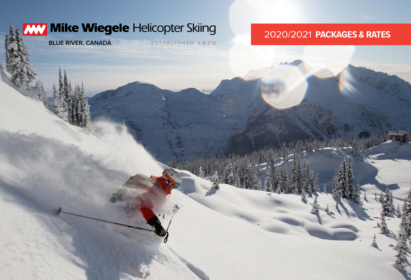## WW Mike Wiegele Helicopter Skiing

**BLUE RIVER, CANADA**

ESTABLISHED 1970

## 2020/2021 **PACKAGES & RATES**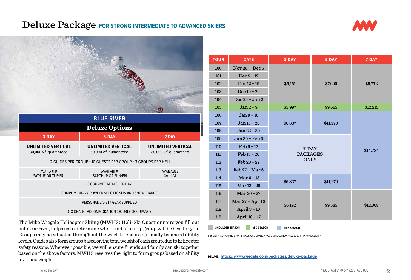## Deluxe Package **FOR STRONG INTERMEDIATE TO ADVANCED SKIERS**





The Mike Wiegele Helicopter Skiing (MWHS) Heli-Ski Questionnaire you fill out before arrival, helps us to determine what kind of skiing group will be best for you. Groups may be adjusted throughout the week to ensure optimally balanced ability levels. Guides also form groups based on the total weight of each group, due to helicopter safety reasons. Wherever possible, we will ensure friends and family can ski together based on the above factors. MWHS reserves the right to form groups based on ability level and weight.

| <b>TOUR</b> | <b>DATE</b>           | 3 DAY                                | 5 DAY              | 7 DAY    |  |
|-------------|-----------------------|--------------------------------------|--------------------|----------|--|
| 100         | Nov $28$ - Dec 5      |                                      | \$7,690<br>\$5,151 |          |  |
| 101         | Dec $5 - 12$          |                                      |                    |          |  |
| 102         | Dec 12 - 19           |                                      |                    | \$9,772  |  |
| 103         | Dec $19 - 26$         |                                      |                    |          |  |
| 104         | Dec 26 - Jan 2        |                                      |                    |          |  |
| 105         | $Jan 2 - 9$           | \$5,997                              | \$9,665            | \$12,215 |  |
| 106         | Jan 9 - 16            |                                      | \$11,270           |          |  |
| 107         | Jan 16 - 23           | \$6,837                              |                    |          |  |
| 108         | Jan 23 - 30           |                                      |                    |          |  |
| 109         | Jan 30 - Feb 6        |                                      |                    |          |  |
| 110         | $\text{Feb } 6 - 13$  | 7-DAY<br>\$14,784<br><b>PACKAGES</b> |                    |          |  |
| 111         | Feb 13 - 20           |                                      |                    |          |  |
| 112         | $\text{Feb } 20 - 27$ | <b>ONLY</b>                          |                    |          |  |
| 113         | Feb 27 - Mar 6        |                                      |                    |          |  |
| 114         | Mar $6 - 13$          | \$6,837                              |                    |          |  |
| 115         | Mar 13 - 20           |                                      | \$11,270           |          |  |
| 116         | Mar 20 - 27           |                                      |                    |          |  |
| 117         | Mar 27 - April 3      |                                      |                    | \$12,068 |  |
| 118         | April 3 - 10          | \$6,192                              | \$9,585            |          |  |
| 119         | April 10 - 17         |                                      |                    |          |  |

**SHOULDER SEASON MID SEASON PEAK SEASON** 

\$250/DAY SURCHARGE FOR SINGLE OCCUPANCY ACCOMMODATION – SUBJECT TO AVAILABILITY.

**DELUXE: https://www.wiegele.com[/packages/deluxe-package](https://www.wiegele.com/packages/deluxe-package)**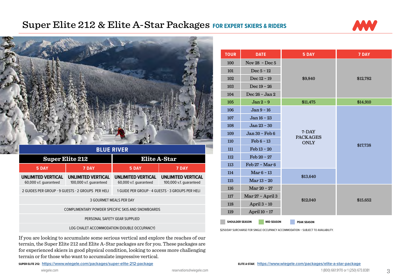## Super Elite 212 & Elite A-Star Packages **FOR EXPERT SKIERS & RIDERS**



\$9,840 \$12,782

ONLY \$17,738



If you are looking to accumulate some serious vertical and explore the reaches of our terrain, the Super Elite 212 and Elite A-Star packages are for you. These packages are for experienced skiers in good physical condition, looking to access more challenging terrain or for those who want to accumulate impressive vertical.

**SUPER ELITE 212: https://www.wiegele.com/[packages/super-elite-212-package](http://www.wiegele.com/packages/super-elite-212-package) ELITE A-STAR: https://www.wiegele.com/[packages/elite-a-star-package](https://www.wiegele.com/packages/elite-a-star-package)**

7-DAY

\$13,640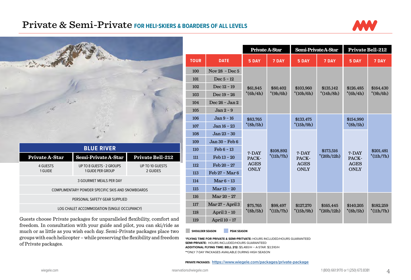## Private & Semi-Private **FOR HELI-SKIERS & BOARDERS OF ALL LEVELS**



|                     | <b>BLUE RIVER</b>                                 |                             |  |  |  |  |
|---------------------|---------------------------------------------------|-----------------------------|--|--|--|--|
| Private A-Star      | Semi-Private A-Star                               | Private Bell-212            |  |  |  |  |
| 4 GUESTS<br>1 GUIDE | UP TO 8 GUESTS - 2 GROUPS<br>1 GUIDE PER GROUP    | UP TO 10 GUESTS<br>2 GUIDES |  |  |  |  |
|                     | 3 GOURMET MEALS PER DAY                           |                             |  |  |  |  |
|                     | COMPLIMENTARY POWDER SPECIFIC SKIS AND SNOWBOARDS |                             |  |  |  |  |
|                     | PERSONAL SAFETY GEAR SUPPLIED                     |                             |  |  |  |  |
|                     | LOG CHALET ACCOMMODATION (SINGLE OCCUPANCY)       |                             |  |  |  |  |

|             |                      | Private A-Star             |             | Semi-PrivateA-Star                  |              | <b>Private Bell-212</b>             |             |
|-------------|----------------------|----------------------------|-------------|-------------------------------------|--------------|-------------------------------------|-------------|
| <b>TOUR</b> | <b>DATE</b>          | 5 DAY                      | 7 DAY       | 5 DAY                               | 7 DAY        | 5 DAY                               | 7 DAY       |
| 100         | Nov $28$ - Dec 5     |                            |             |                                     |              |                                     |             |
| 101         | Dec $5 - 12$         |                            |             |                                     |              |                                     |             |
| 102         | Dec $12 - 19$        | \$61.845                   | \$80,402    | \$103,960                           | \$135,142    | \$126.485                           | \$164,430   |
| 103         | Dec $19 - 26$        | $*(6h/4h)$                 | $*(9h/6h)$  | $*(10h/6h)$                         | $*(14h/8h)$  | $*(6h/4h)$                          | $*(9h/6h)$  |
| 104         | Dec 26 - Jan 2       |                            |             |                                     |              |                                     |             |
| 105         | $Jan 2 - 9$          |                            |             |                                     |              |                                     |             |
| 106         | Jan 9 - 16           | \$83.765                   |             | \$133.475                           |              | \$154,990                           |             |
| 107         | Jan 16 - 23          | $*(8h/5h)$                 |             | $*(15h/9h)$                         |              | $*(8h/5h)$                          |             |
| 108         | Jan 23 - 30          |                            |             |                                     |              |                                     |             |
| 109         | Jan 30 - Feb 6       |                            |             |                                     |              |                                     |             |
| 110         | $\text{Feb } 6 - 13$ | 7-DAY                      | \$108,892   | 7-DAY                               | \$173,516    | 7-DAY                               | \$201,481   |
| 111         | Feb 13 - 20          | PACK-                      | $*(11h/7h)$ | PACK-<br><b>AGES</b><br><b>ONLY</b> | $*(20h/12h)$ | PACK-<br><b>AGES</b><br><b>ONLY</b> | $*(11h/7h)$ |
| 112         | Feb 20 - 27          | <b>AGES</b><br><b>ONLY</b> |             |                                     |              |                                     |             |
| 113         | Feb 27 - Mar 6       |                            |             |                                     |              |                                     |             |
| 114         | Mar $6 - 13$         |                            |             |                                     |              |                                     |             |
| 115         | Mar 13 - 20          |                            |             |                                     |              |                                     |             |
| 116         | Mar 20 - 27          |                            |             |                                     |              |                                     |             |
| 117         | Mar 27 - April 3     | \$75,765                   | \$98,497    | \$127,270                           | \$165,445    | \$140,205                           | \$182,259   |
| 118         | April $3 - 10$       | $*(8h/5h)$                 | $*(11h/7h)$ | $*(15h/9h)$                         | $*(20h/12h)$ | $*(8h/5h)$                          | $*(11h/7h)$ |
| 119         | April 10 - 17        |                            |             |                                     |              |                                     |             |

Guests choose Private packages for unparalleled flexibility, comfort and freedom. In consultation with your guide and pilot, you can ski/ride as much or as little as you wish each day. Semi-Private packages place two groups with each helicopter – while preserving the flexibility and freedom of Private packages.

**SHOULDER SEASON PEAK SEASON** 

**\*FLYING TIME FOR PRIVATE & SEMI-PRITVATE:** HOURS INCLUDED/HOURS GUARANTEED **SEMI-PRIVATE:** HOURS INCLUDED/HOURS GUARANTEED **ADDITIONAL FLYING TIME: BELL 212:** \$5,480/H – A-STAR: \$3,510/H **\*\***ONLY 7-DAY PACKAGES AVAILABLE DURING HIGH SEASON

**PRIVATE PACKAGES: https://www.wiegele.com[/packages/private-package](https://www.wiegele.com/packages/private-package)**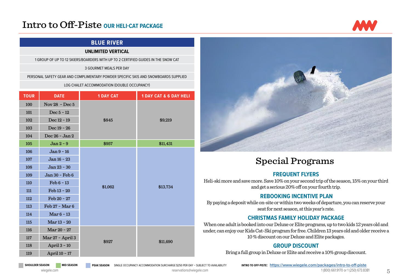## Intro to Off-Piste **OUR HELI-CAT PACKAGE**

### **BLUE RIVER**

#### **UNLIMITED VERTICAL**

1 GROUP OF UP TO 12 SKIERS/BOARDERS WITH UP TO 2 CERTIFIED GUIDES IN THE SNOW CAT

#### 3 GOURMET MEALS PER DAY

PERSONAL SAFETY GEAR AND COMPLIMENTARY POWDER SPECIFIC SKIS AND SNOWBOARDS SUPPLIED

#### LOG CHALET ACCOMMODATION (DOUBLE OCCUPANCY)

| <b>TOUR</b> | <b>DATE</b>          | <b>1 DAY CAT</b> | <b>1 DAY CAT &amp; 6 DAY HELI</b> |
|-------------|----------------------|------------------|-----------------------------------|
| 100         | Nov 28 - Dec $5$     |                  |                                   |
| 101         | Dec $5 - 12$         |                  |                                   |
| 102         | Dec 12 - 19          | \$845            | \$9,219                           |
| 103         | Dec 19 - 26          |                  |                                   |
| 104         | Dec 26 - Jan 2       |                  |                                   |
| 105         | $Jan 2 - 9$          | \$957            | \$11,431                          |
| 106         | Jan 9 - 16           |                  |                                   |
| 107         | Jan 16 - 23          |                  |                                   |
| 108         | Jan 23 - 30          |                  |                                   |
| 109         | Jan 30 - Feb 6       | \$1,062          |                                   |
| 110         | $\text{Feb } 6 - 13$ |                  | \$13,734                          |
| 111         | Feb 13 - 20          |                  |                                   |
| 112         | Feb 20 - 27          |                  |                                   |
| 113         | Feb 27 - Mar 6       |                  |                                   |
| 114         | Mar $6 - 13$         |                  |                                   |
| 115         | Mar 13 - 20          |                  |                                   |
| 116         | Mar 20 - 27          |                  |                                   |
| 117         | Mar 27 - April 3     |                  |                                   |
| 118         | April 3 - 10         | \$927            | \$11,690                          |
| 119         | April 10 - 17        |                  |                                   |



## Special Programs

#### **FREQUENT FLYERS**

Heli-ski more and save more. Save 10% on your second trip of the season, 15% on your third and get a serious 20% off on your fourth trip.

#### **REBOOKING INCENTIVE PLAN**

By paying a deposit while on-site or within two weeks of departure, you can reserve your seat for next season, at this year's rate.

#### **CHRISTMAS FAMILY HOLIDAY PACKAGE**

When one adult is booked into our Deluxe or Elite programs, up to two kids 12 years old and under, can enjoy our Kids Cat-Ski program for free. Children 13 years old and older receive a 10 % discount on our Deluxe and Elite packages.

#### **GROUP DISCOUNT**

Bring a full group in Deluxe or Elite and receive a 10% group discount.

SHOULDER SEASON MID SEASON PEAK SEASON SINGLE OCCUPANCY ACCOMMODATION SURCHARGE \$250 PER-DAY - SUBJECT TO AVAILABILITY INTRO TO OFF-PISTE: https://www.wiegele.com/[packages/intro-to-off-piste](https://www.wiegele.com/packages/intro-to-off-piste)

[wiegele.com](http://www.wiegele.com) and the servations of the servations of the computations of the servations of the computations of the servations of the computations of the servations of the computations of the computations of the computation

**NW** 

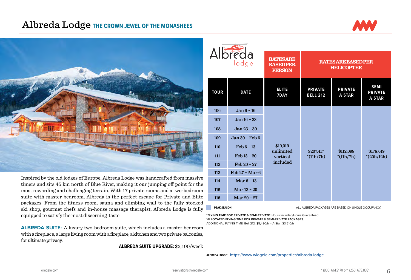## Albreda Lodge **THE CROWN JEWEL OF THE MONASHEES**





Inspired by the old lodges of Europe, Albreda Lodge was handcrafted from massive timers and sits 45 km north of Blue River, making it our jumping off point for the most rewarding and challenging terrain. With 17 private rooms and a two-bedroom suite with master bedroom, Albreda is the perfect escape for Private and Elite packages. From the fitness room, sauna and climbing wall to the fully stocked ski shop, gourmet chefs and in-house massage therapist, Albreda Lodge is fully equipped to satisfy the most discerning taste.

**ALBREDA SUITE:** A luxury two-bedroom suite, which includes a master bedroom with a fireplace, a large living room with a fireplace, a kitchen and two private balconies, for ultimate privacy.

**ALBREDA SUITE UPGRADE:** \$2,100/week

| Albreda<br>lodge |                       | <b>RATESARE</b><br><b>BASEDPER</b><br><b>PERSON</b> | <b>RATESARE BASED PER</b><br><b>HELICOPTER</b> |                                 |                                                |
|------------------|-----------------------|-----------------------------------------------------|------------------------------------------------|---------------------------------|------------------------------------------------|
| <b>TOUR</b>      | <b>DATE</b>           | <b>ELITE</b><br>7DAY                                | <b>PRIVATE</b><br><b>BELL 212</b>              | <b>PRIVATE</b><br><b>A-STAR</b> | <b>SEMI</b><br><b>PRIVATE</b><br><b>A-STAR</b> |
| 106              | $Jan 9 - 16$          | \$19,019<br>unlimited<br>vertical<br>included       |                                                |                                 |                                                |
| 107              | Jan 16 - 23           |                                                     |                                                |                                 |                                                |
| 108              | Jan 23 - 30           |                                                     |                                                |                                 |                                                |
| 109              | Jan 30 - Feb 6        |                                                     |                                                |                                 |                                                |
| 110              | $\text{Feb } 6 - 13$  |                                                     | \$207,417                                      | \$112,098                       |                                                |
| 111              | $\text{Feb} 13 - 20$  |                                                     | $*(11h/7h)$                                    | $*(11h/7h)$                     | \$178,619<br>$*(20h/12h)$                      |
| 112              | $\text{Feb } 20 - 27$ |                                                     |                                                |                                 |                                                |
| 113              | Feb 27 - Mar 6        |                                                     |                                                |                                 |                                                |
| 114              | Mar $6-13$            |                                                     |                                                |                                 |                                                |
| 115              | $Mar 13 - 20$         |                                                     |                                                |                                 |                                                |
| 116              | Mar 20 - 27           |                                                     |                                                |                                 |                                                |

**PEAK SEASON** ALL ALBREDA PACKAGES ARE BASED ON SINGLE OCCUPANCY.

**\*FLYING TIME FOR PRIVATE & SEMI-PRIVATE:** Hours Included/Hours Guaranteed **\*ALLOCATED FLYING TIME FOR PRIVATE & SEMI-PRIVATE PACKAGES:**  ADDITIONAL FLYING TIME: Bell 212: \$5,480/h – A-Star: \$3,510/h

**ALBREDA LODGE: https://www.wiegele.com[/properties/albreda-lodge](https://www.wiegele.com/properties/albreda-lodge)**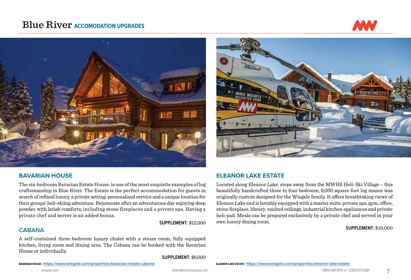## **Blue River ACCOMODATION UPGRADES**





#### **BAVARIAN HOUSE**

The six-bedroom Bavarian Estate House, is one of the most exquisite examples of log craftsmanship in Blue River. The Estate is the perfect accommodation for guests in search of refined luxury, a private setting, personalized service and a unique location for their groups' heli-skiing adventure. Rejuvenate after an adventurous day enjoying deep powder, with lavish comforts; including stone fireplaces and a private spa. Having a private chef and server is an added bonus.

**SUPPLEMENT:** \$12,000

#### **CABANA**

A self-contained three-bedroom luxury chalet with a steam room, fully equipped kitchen, living room and dining area. The Cabana can be booked with the Bavarian House or individually.

**SUPPLEMENT:** \$6,000





#### **ELEANOR LAKE ESTATE**

Located along Eleanor Lake, steps away from the MWHS Heli-Ski Village – this beautifully handcrafted three to four bedroom, 9,000 square foot log manor was originally custom designed for the Wiegele family. It offers breathtaking views of Eleanor Lake and is lavishly equipped with a master suite, private spa, gym, office, stone fireplace, library, vaulted ceilings, industrial kitchen appliances and private heli-pad. Meals can be prepared exclusively by a private chef and served in your own luxury dining room.

**SUPPLEMENT:** \$10,000